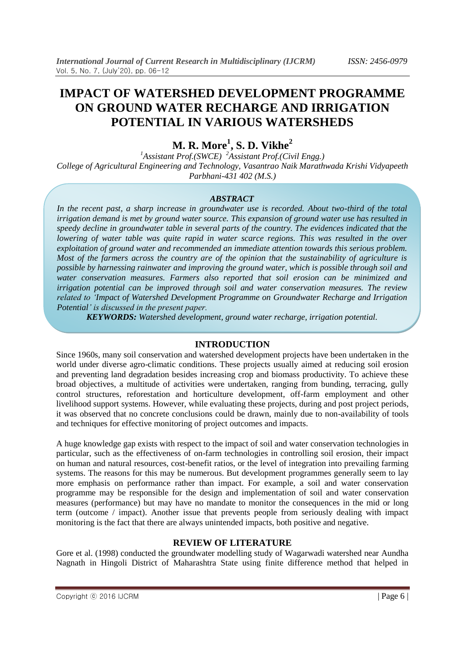# **IMPACT OF WATERSHED DEVELOPMENT PROGRAMME ON GROUND WATER RECHARGE AND IRRIGATION POTENTIAL IN VARIOUS WATERSHEDS**

**M. R. More<sup>1</sup> , S. D. Vikhe<sup>2</sup>**

*<sup>1</sup>Assistant Prof.(SWCE) <sup>2</sup>Assistant Prof.(Civil Engg.) College of Agricultural Engineering and Technology, Vasantrao Naik Marathwada Krishi Vidyapeeth Parbhani-431 402 (M.S.)*

#### *ABSTRACT*

*In the recent past, a sharp increase in groundwater use is recorded. About two-third of the total irrigation demand is met by ground water source. This expansion of ground water use has resulted in speedy decline in groundwater table in several parts of the country. The evidences indicated that the lowering of water table was quite rapid in water scarce regions. This was resulted in the over exploitation of ground water and recommended an immediate attention towards this serious problem. Most of the farmers across the country are of the opinion that the sustainability of agriculture is possible by harnessing rainwater and improving the ground water, which is possible through soil and water conservation measures. Farmers also reported that soil erosion can be minimized and irrigation potential can be improved through soil and water conservation measures. The review related to 'Impact of Watershed Development Programme on Groundwater Recharge and Irrigation Potential' is discussed in the present paper.*

*KEYWORDS: Watershed development, ground water recharge, irrigation potential.*

#### **INTRODUCTION**

Since 1960s, many soil conservation and watershed development projects have been undertaken in the world under diverse agro-climatic conditions. These projects usually aimed at reducing soil erosion and preventing land degradation besides increasing crop and biomass productivity. To achieve these broad objectives, a multitude of activities were undertaken, ranging from bunding, terracing, gully control structures, reforestation and horticulture development, off-farm employment and other livelihood support systems. However, while evaluating these projects, during and post project periods, it was observed that no concrete conclusions could be drawn, mainly due to non-availability of tools and techniques for effective monitoring of project outcomes and impacts.

A huge knowledge gap exists with respect to the impact of soil and water conservation technologies in particular, such as the effectiveness of on-farm technologies in controlling soil erosion, their impact on human and natural resources, cost-benefit ratios, or the level of integration into prevailing farming systems. The reasons for this may be numerous. But development programmes generally seem to lay more emphasis on performance rather than impact. For example, a soil and water conservation programme may be responsible for the design and implementation of soil and water conservation measures (performance) but may have no mandate to monitor the consequences in the mid or long term (outcome / impact). Another issue that prevents people from seriously dealing with impact monitoring is the fact that there are always unintended impacts, both positive and negative.

# **REVIEW OF LITERATURE**

Gore et al. (1998) conducted the groundwater modelling study of Wagarwadi watershed near Aundha Nagnath in Hingoli District of Maharashtra State using finite difference method that helped in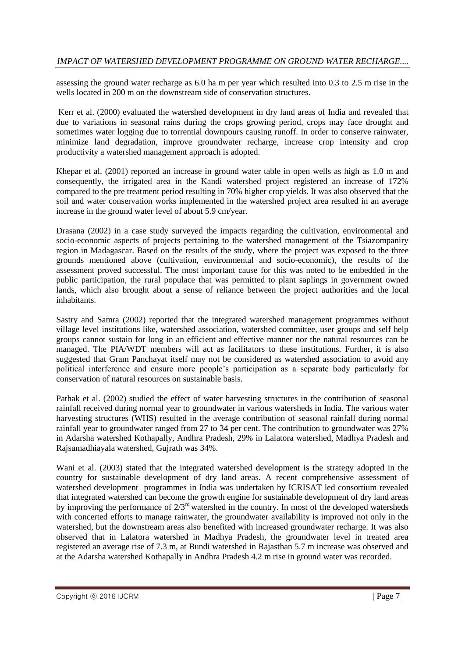assessing the ground water recharge as 6.0 ha m per year which resulted into 0.3 to 2.5 m rise in the wells located in 200 m on the downstream side of conservation structures.

Kerr et al. (2000) evaluated the watershed development in dry land areas of India and revealed that due to variations in seasonal rains during the crops growing period, crops may face drought and sometimes water logging due to torrential downpours causing runoff. In order to conserve rainwater, minimize land degradation, improve groundwater recharge, increase crop intensity and crop productivity a watershed management approach is adopted.

Khepar et al. (2001) reported an increase in ground water table in open wells as high as 1.0 m and consequently, the irrigated area in the Kandi watershed project registered an increase of 172% compared to the pre treatment period resulting in 70% higher crop yields. It was also observed that the soil and water conservation works implemented in the watershed project area resulted in an average increase in the ground water level of about 5.9 cm/year.

Drasana (2002) in a case study surveyed the impacts regarding the cultivation, environmental and socio-economic aspects of projects pertaining to the watershed management of the Tsiazompaniry region in Madagascar. Based on the results of the study, where the project was exposed to the three grounds mentioned above (cultivation, environmental and socio-economic), the results of the assessment proved successful. The most important cause for this was noted to be embedded in the public participation, the rural populace that was permitted to plant saplings in government owned lands, which also brought about a sense of reliance between the project authorities and the local inhabitants.

Sastry and Samra (2002) reported that the integrated watershed management programmes without village level institutions like, watershed association, watershed committee, user groups and self help groups cannot sustain for long in an efficient and effective manner nor the natural resources can be managed. The PIA/WDT members will act as facilitators to these institutions. Further, it is also suggested that Gram Panchayat itself may not be considered as watershed association to avoid any political interference and ensure more people"s participation as a separate body particularly for conservation of natural resources on sustainable basis.

Pathak et al. (2002) studied the effect of water harvesting structures in the contribution of seasonal rainfall received during normal year to groundwater in various watersheds in India. The various water harvesting structures (WHS) resulted in the average contribution of seasonal rainfall during normal rainfall year to groundwater ranged from 27 to 34 per cent. The contribution to groundwater was 27% in Adarsha watershed Kothapally, Andhra Pradesh, 29% in Lalatora watershed, Madhya Pradesh and Rajsamadhiayala watershed, Gujrath was 34%.

Wani et al. (2003) stated that the integrated watershed development is the strategy adopted in the country for sustainable development of dry land areas. A recent comprehensive assessment of watershed development programmes in India was undertaken by ICRISAT led consortium revealed that integrated watershed can become the growth engine for sustainable development of dry land areas by improving the performance of 2/3rd watershed in the country. In most of the developed watersheds with concerted efforts to manage rainwater, the groundwater availability is improved not only in the watershed, but the downstream areas also benefited with increased groundwater recharge. It was also observed that in Lalatora watershed in Madhya Pradesh, the groundwater level in treated area registered an average rise of 7.3 m, at Bundi watershed in Rajasthan 5.7 m increase was observed and at the Adarsha watershed Kothapally in Andhra Pradesh 4.2 m rise in ground water was recorded.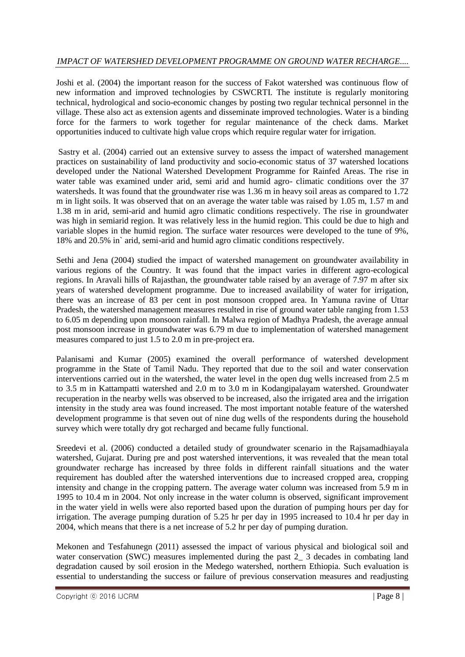Joshi et al. (2004) the important reason for the success of Fakot watershed was continuous flow of new information and improved technologies by CSWCRTI. The institute is regularly monitoring technical, hydrological and socio-economic changes by posting two regular technical personnel in the village. These also act as extension agents and disseminate improved technologies. Water is a binding force for the farmers to work together for regular maintenance of the check dams. Market opportunities induced to cultivate high value crops which require regular water for irrigation.

Sastry et al. (2004) carried out an extensive survey to assess the impact of watershed management practices on sustainability of land productivity and socio-economic status of 37 watershed locations developed under the National Watershed Development Programme for Rainfed Areas. The rise in water table was examined under arid, semi arid and humid agro- climatic conditions over the 37 watersheds. It was found that the groundwater rise was 1.36 m in heavy soil areas as compared to 1.72 m in light soils. It was observed that on an average the water table was raised by 1.05 m, 1.57 m and 1.38 m in arid, semi-arid and humid agro climatic conditions respectively. The rise in groundwater was high in semiarid region. It was relatively less in the humid region. This could be due to high and variable slopes in the humid region. The surface water resources were developed to the tune of 9%, 18% and 20.5% in` arid, semi-arid and humid agro climatic conditions respectively.

Sethi and Jena (2004) studied the impact of watershed management on groundwater availability in various regions of the Country. It was found that the impact varies in different agro-ecological regions. In Aravali hills of Rajasthan, the groundwater table raised by an average of 7.97 m after six years of watershed development programme. Due to increased availability of water for irrigation, there was an increase of 83 per cent in post monsoon cropped area. In Yamuna ravine of Uttar Pradesh, the watershed management measures resulted in rise of ground water table ranging from 1.53 to 6.05 m depending upon monsoon rainfall. In Malwa region of Madhya Pradesh, the average annual post monsoon increase in groundwater was 6.79 m due to implementation of watershed management measures compared to just 1.5 to 2.0 m in pre-project era.

Palanisami and Kumar (2005) examined the overall performance of watershed development programme in the State of Tamil Nadu. They reported that due to the soil and water conservation interventions carried out in the watershed, the water level in the open dug wells increased from 2.5 m to 3.5 m in Kattampatti watershed and 2.0 m to 3.0 m in Kodangipalayam watershed. Groundwater recuperation in the nearby wells was observed to be increased, also the irrigated area and the irrigation intensity in the study area was found increased. The most important notable feature of the watershed development programme is that seven out of nine dug wells of the respondents during the household survey which were totally dry got recharged and became fully functional.

Sreedevi et al. (2006) conducted a detailed study of groundwater scenario in the Rajsamadhiayala watershed, Gujarat. During pre and post watershed interventions, it was revealed that the mean total groundwater recharge has increased by three folds in different rainfall situations and the water requirement has doubled after the watershed interventions due to increased cropped area, cropping intensity and change in the cropping pattern. The average water column was increased from 5.9 m in 1995 to 10.4 m in 2004. Not only increase in the water column is observed, significant improvement in the water yield in wells were also reported based upon the duration of pumping hours per day for irrigation. The average pumping duration of 5.25 hr per day in 1995 increased to 10.4 hr per day in 2004, which means that there is a net increase of 5.2 hr per day of pumping duration.

Mekonen and Tesfahunegn (2011) assessed the impact of various physical and biological soil and water conservation (SWC) measures implemented during the past 2\_ 3 decades in combating land degradation caused by soil erosion in the Medego watershed, northern Ethiopia. Such evaluation is essential to understanding the success or failure of previous conservation measures and readjusting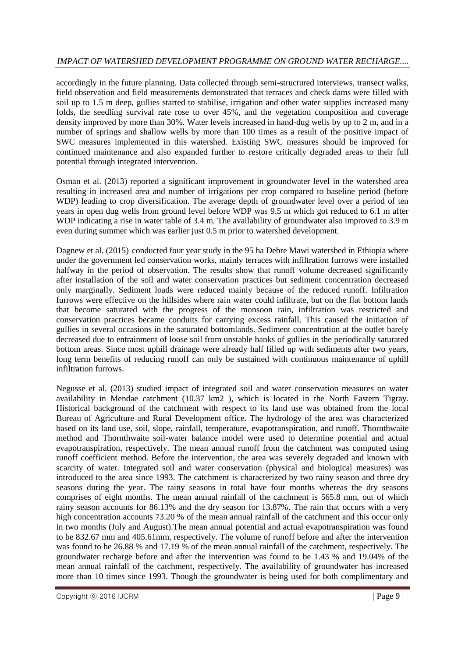accordingly in the future planning. Data collected through semi-structured interviews, transect walks, field observation and field measurements demonstrated that terraces and check dams were filled with soil up to 1.5 m deep, gullies started to stabilise, irrigation and other water supplies increased many folds, the seedling survival rate rose to over 45%, and the vegetation composition and coverage density improved by more than 30%. Water levels increased in hand-dug wells by up to 2 m, and in a number of springs and shallow wells by more than 100 times as a result of the positive impact of SWC measures implemented in this watershed. Existing SWC measures should be improved for continued maintenance and also expanded further to restore critically degraded areas to their full potential through integrated intervention.

Osman et al. (2013) reported a significant improvement in groundwater level in the watershed area resulting in increased area and number of irrigations per crop compared to baseline period (before WDP) leading to crop diversification. The average depth of groundwater level over a period of ten years in open dug wells from ground level before WDP was 9.5 m which got reduced to 6.1 m after WDP indicating a rise in water table of 3.4 m. The availability of groundwater also improved to 3.9 m even during summer which was earlier just 0.5 m prior to watershed development.

Dagnew et al. (2015) conducted four year study in the 95 ha Debre Mawi watershed in Ethiopia where under the government led conservation works, mainly terraces with infiltration furrows were installed halfway in the period of observation. The results show that runoff volume decreased significantly after installation of the soil and water conservation practices but sediment concentration decreased only marginally. Sediment loads were reduced mainly because of the reduced runoff. Infiltration furrows were effective on the hillsides where rain water could infiltrate, but on the flat bottom lands that become saturated with the progress of the monsoon rain, infiltration was restricted and conservation practices became conduits for carrying excess rainfall. This caused the initiation of gullies in several occasions in the saturated bottomlands. Sediment concentration at the outlet barely decreased due to entrainment of loose soil from unstable banks of gullies in the periodically saturated bottom areas. Since most uphill drainage were already half filled up with sediments after two years, long term benefits of reducing runoff can only be sustained with continuous maintenance of uphill infiltration furrows.

Negusse et al. (2013) studied impact of integrated soil and water conservation measures on water availability in Mendae catchment (10.37 km2 ), which is located in the North Eastern Tigray. Historical background of the catchment with respect to its land use was obtained from the local Bureau of Agriculture and Rural Development office. The hydrology of the area was characterized based on its land use, soil, slope, rainfall, temperature, evapotranspiration, and runoff. Thornthwaite method and Thornthwaite soil-water balance model were used to determine potential and actual evapotranspiration, respectively. The mean annual runoff from the catchment was computed using runoff coefficient method. Before the intervention, the area was severely degraded and known with scarcity of water. Integrated soil and water conservation (physical and biological measures) was introduced to the area since 1993. The catchment is characterized by two rainy season and three dry seasons during the year. The rainy seasons in total have four months whereas the dry seasons comprises of eight months. The mean annual rainfall of the catchment is 565.8 mm, out of which rainy season accounts for 86.13% and the dry season for 13.87%. The rain that occurs with a very high concentration accounts 73.20 % of the mean annual rainfall of the catchment and this occur only in two months (July and August).The mean annual potential and actual evapotranspiration was found to be 832.67 mm and 405.61mm, respectively. The volume of runoff before and after the intervention was found to be 26.88 % and 17.19 % of the mean annual rainfall of the catchment, respectively. The groundwater recharge before and after the intervention was found to be 1.43 % and 19.04% of the mean annual rainfall of the catchment, respectively. The availability of groundwater has increased more than 10 times since 1993. Though the groundwater is being used for both complimentary and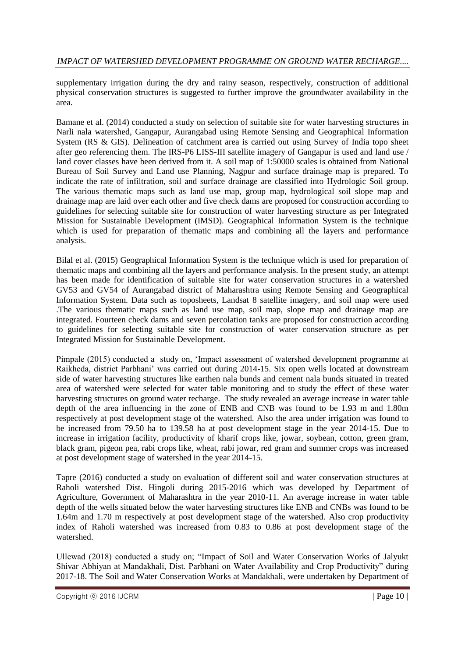supplementary irrigation during the dry and rainy season, respectively, construction of additional physical conservation structures is suggested to further improve the groundwater availability in the area.

Bamane et al. (2014) conducted a study on selection of suitable site for water harvesting structures in Narli nala watershed, Gangapur, Aurangabad using Remote Sensing and Geographical Information System (RS & GIS). Delineation of catchment area is carried out using Survey of India topo sheet after geo referencing them. The IRS-P6 LISS-III satellite imagery of Gangapur is used and land use / land cover classes have been derived from it. A soil map of 1:50000 scales is obtained from National Bureau of Soil Survey and Land use Planning, Nagpur and surface drainage map is prepared. To indicate the rate of infiltration, soil and surface drainage are classified into Hydrologic Soil group. The various thematic maps such as land use map, group map, hydrological soil slope map and drainage map are laid over each other and five check dams are proposed for construction according to guidelines for selecting suitable site for construction of water harvesting structure as per Integrated Mission for Sustainable Development (IMSD). Geographical Information System is the technique which is used for preparation of thematic maps and combining all the layers and performance analysis.

Bilal et al. (2015) Geographical Information System is the technique which is used for preparation of thematic maps and combining all the layers and performance analysis. In the present study, an attempt has been made for identification of suitable site for water conservation structures in a watershed GV53 and GV54 of Aurangabad district of Maharashtra using Remote Sensing and Geographical Information System. Data such as toposheets, Landsat 8 satellite imagery, and soil map were used .The various thematic maps such as land use map, soil map, slope map and drainage map are integrated. Fourteen check dams and seven percolation tanks are proposed for construction according to guidelines for selecting suitable site for construction of water conservation structure as per Integrated Mission for Sustainable Development.

Pimpale (2015) conducted a study on, "Impact assessment of watershed development programme at Raikheda, district Parbhani" was carried out during 2014-15. Six open wells located at downstream side of water harvesting structures like earthen nala bunds and cement nala bunds situated in treated area of watershed were selected for water table monitoring and to study the effect of these water harvesting structures on ground water recharge. The study revealed an average increase in water table depth of the area influencing in the zone of ENB and CNB was found to be 1.93 m and 1.80m respectively at post development stage of the watershed. Also the area under irrigation was found to be increased from 79.50 ha to 139.58 ha at post development stage in the year 2014-15. Due to increase in irrigation facility, productivity of kharif crops like, jowar, soybean, cotton, green gram, black gram, pigeon pea, rabi crops like, wheat, rabi jowar, red gram and summer crops was increased at post development stage of watershed in the year 2014-15.

Tapre (2016) conducted a study on evaluation of different soil and water conservation structures at Raholi watershed Dist. Hingoli during 2015-2016 which was developed by Department of Agriculture, Government of Maharashtra in the year 2010-11. An average increase in water table depth of the wells situated below the water harvesting structures like ENB and CNBs was found to be 1.64m and 1.70 m respectively at post development stage of the watershed. Also crop productivity index of Raholi watershed was increased from 0.83 to 0.86 at post development stage of the watershed.

Ullewad (2018) conducted a study on; "Impact of Soil and Water Conservation Works of Jalyukt Shivar Abhiyan at Mandakhali, Dist. Parbhani on Water Availability and Crop Productivity" during 2017-18. The Soil and Water Conservation Works at Mandakhali, were undertaken by Department of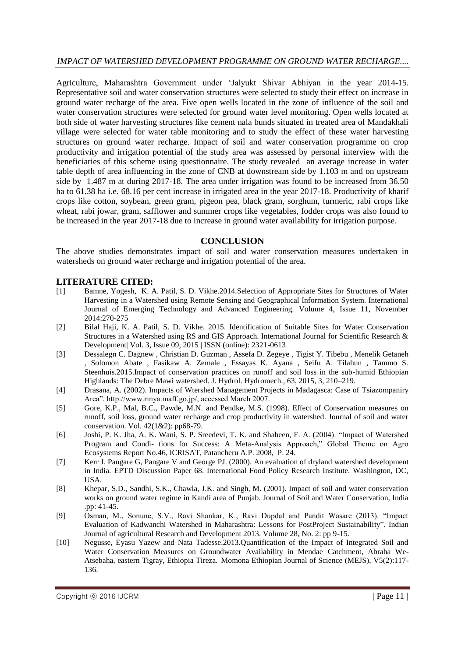Agriculture, Maharashtra Government under "Jalyukt Shivar Abhiyan in the year 2014-15. Representative soil and water conservation structures were selected to study their effect on increase in ground water recharge of the area. Five open wells located in the zone of influence of the soil and water conservation structures were selected for ground water level monitoring. Open wells located at both side of water harvesting structures like cement nala bunds situated in treated area of Mandakhali village were selected for water table monitoring and to study the effect of these water harvesting structures on ground water recharge. Impact of soil and water conservation programme on crop productivity and irrigation potential of the study area was assessed by personal interview with the beneficiaries of this scheme using questionnaire. The study revealed an average increase in water table depth of area influencing in the zone of CNB at downstream side by 1.103 m and on upstream side by 1.487 m at during 2017-18. The area under irrigation was found to be increased from 36.50 ha to 61.38 ha i.e. 68.16 per cent increase in irrigated area in the year 2017-18. Productivity of kharif crops like cotton, soybean, green gram, pigeon pea, black gram, sorghum, turmeric, rabi crops like wheat, rabi jowar, gram, safflower and summer crops like vegetables, fodder crops was also found to be increased in the year 2017-18 due to increase in ground water availability for irrigation purpose.

#### **CONCLUSION**

The above studies demonstrates impact of soil and water conservation measures undertaken in watersheds on ground water recharge and irrigation potential of the area.

# **LITERATURE CITED:**

- [1] Bamne, Yogesh, K. A. Patil, S. D. Vikhe.2014.Selection of Appropriate Sites for Structures of Water Harvesting in a Watershed using Remote Sensing and Geographical Information System. International Journal of Emerging Technology and Advanced Engineering. Volume 4, Issue 11, November 2014:270-275
- [2] Bilal Haji, K. A. Patil, S. D. Vikhe. 2015. Identification of Suitable Sites for Water Conservation Structures in a Watershed using RS and GIS Approach. International Journal for Scientific Research & Development| Vol. 3, Issue 09, 2015 | ISSN (online): 2321-0613
- [3] Dessalegn C. Dagnew , Christian D. Guzman , Assefa D. Zegeye , Tigist Y. Tibebu , Menelik Getaneh , Solomon Abate , Fasikaw A. Zemale , Essayas K. Ayana , Seifu A. Tilahun , Tammo S. Steenhuis.2015.Impact of conservation practices on runoff and soil loss in the sub-humid Ethiopian Highlands: The Debre Mawi watershed. J. Hydrol. Hydromech., 63, 2015, 3, 210–219.
- [4] Drasana, A. (2002). Impacts of Wtershed Management Projects in Madagasca: Case of Tsiazompaniry Area". http://www.rinya.maff.go.jp/, accessed March 2007.
- [5] Gore, K.P., Mal, B.C., Pawde, M.N. and Pendke, M.S. (1998). Effect of Conservation measures on runoff, soil loss, ground water recharge and crop productivity in watershed. Journal of soil and water conservation. Vol. 42(1&2): pp68-79.
- [6] Joshi, P. K. Jha, A. K. Wani, S. P. Sreedevi, T. K. and Shaheen, F. A. (2004). "Impact of Watershed Program and Condi- tions for Success: A Meta-Analysis Approach," Global Theme on Agro Ecosystems Report No.46, ICRISAT, Patancheru A.P. 2008, P. 24.
- [7] Kerr J. Pangare G, Pangare V and George PJ. (2000). An evaluation of dryland watershed development in India. EPTD Discussion Paper 68. International Food Policy Research Institute. Washington, DC, USA.
- [8] Khepar, S.D., Sandhi, S.K., Chawla, J.K. and Singh, M. (2001). Impact of soil and water conservation works on ground water regime in Kandi area of Punjab. Journal of Soil and Water Conservation, India .pp: 41-45.
- [9] Osman, M., Sonune, S.V., Ravi Shankar, K., Ravi Dupdal and Pandit Wasare (2013). "Impact Evaluation of Kadwanchi Watershed in Maharashtra: Lessons for PostProject Sustainability". Indian Journal of agricultural Research and Development 2013. Volume 28, No. 2: pp 9-15.
- [10] Negusse, Eyasu Yazew and Nata Tadesse.2013.Quantification of the Impact of Integrated Soil and Water Conservation Measures on Groundwater Availability in Mendae Catchment, Abraha We-Atsebaha, eastern Tigray, Ethiopia Tireza. Momona Ethiopian Journal of Science (MEJS), V5(2):117- 136.